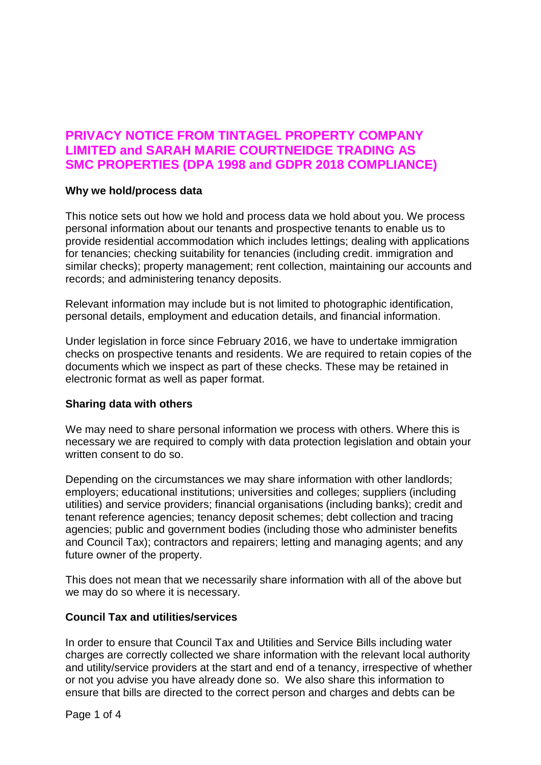# **PRIVACY NOTICE FROM TINTAGEL PROPERTY COMPANY LIMITED and SARAH MARIE COURTNEIDGE TRADING AS SMC PROPERTIES (DPA 1998 and GDPR 2018 COMPLIANCE)**

### **Why we hold/process data**

This notice sets out how we hold and process data we hold about you. We process personal information about our tenants and prospective tenants to enable us to provide residential accommodation which includes lettings; dealing with applications for tenancies; checking suitability for tenancies (including credit. immigration and similar checks); property management; rent collection, maintaining our accounts and records; and administering tenancy deposits.

Relevant information may include but is not limited to photographic identification, personal details, employment and education details, and financial information.

Under legislation in force since February 2016, we have to undertake immigration checks on prospective tenants and residents. We are required to retain copies of the documents which we inspect as part of these checks. These may be retained in electronic format as well as paper format.

# **Sharing data with others**

We may need to share personal information we process with others. Where this is necessary we are required to comply with data protection legislation and obtain your written consent to do so.

Depending on the circumstances we may share information with other landlords; employers; educational institutions; universities and colleges; suppliers (including utilities) and service providers; financial organisations (including banks); credit and tenant reference agencies; tenancy deposit schemes; debt collection and tracing agencies; public and government bodies (including those who administer benefits and Council Tax); contractors and repairers; letting and managing agents; and any future owner of the property.

This does not mean that we necessarily share information with all of the above but we may do so where it is necessary.

#### **Council Tax and utilities/services**

In order to ensure that Council Tax and Utilities and Service Bills including water charges are correctly collected we share information with the relevant local authority and utility/service providers at the start and end of a tenancy, irrespective of whether or not you advise you have already done so. We also share this information to ensure that bills are directed to the correct person and charges and debts can be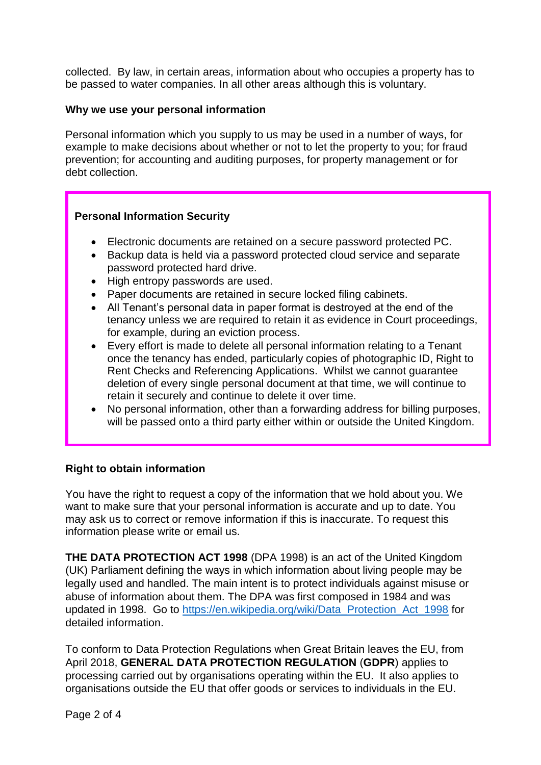collected. By law, in certain areas, information about who occupies a property has to be passed to water companies. In all other areas although this is voluntary.

# **Why we use your personal information**

Personal information which you supply to us may be used in a number of ways, for example to make decisions about whether or not to let the property to you; for fraud prevention; for accounting and auditing purposes, for property management or for debt collection.

# **Personal Information Security**

- Electronic documents are retained on a secure password protected PC.
- Backup data is held via a password protected cloud service and separate password protected hard drive.
- High entropy passwords are used.
- Paper documents are retained in secure locked filing cabinets.
- All Tenant's personal data in paper format is destroyed at the end of the tenancy unless we are required to retain it as evidence in Court proceedings, for example, during an eviction process.
- Every effort is made to delete all personal information relating to a Tenant once the tenancy has ended, particularly copies of photographic ID, Right to Rent Checks and Referencing Applications. Whilst we cannot guarantee deletion of every single personal document at that time, we will continue to retain it securely and continue to delete it over time.
- No personal information, other than a forwarding address for billing purposes, will be passed onto a third party either within or outside the United Kingdom.

# **Right to obtain information**

You have the right to request a copy of the information that we hold about you. We want to make sure that your personal information is accurate and up to date. You may ask us to correct or remove information if this is inaccurate. To request this information please write or email us.

**THE DATA PROTECTION ACT 1998** (DPA 1998) is an act of the United Kingdom (UK) Parliament defining the ways in which information about living people may be legally used and handled. The main intent is to protect individuals against misuse or abuse of information about them. The DPA was first composed in 1984 and was updated in 1998. Go to [https://en.wikipedia.org/wiki/Data\\_Protection\\_Act\\_1998](https://en.wikipedia.org/wiki/Data_Protection_Act_1998) for detailed information.

To conform to Data Protection Regulations when Great Britain leaves the EU, from April 2018, **GENERAL DATA PROTECTION REGULATION** (**GDPR**) applies to processing carried out by organisations operating within the EU. It also applies to organisations outside the EU that offer goods or services to individuals in the EU.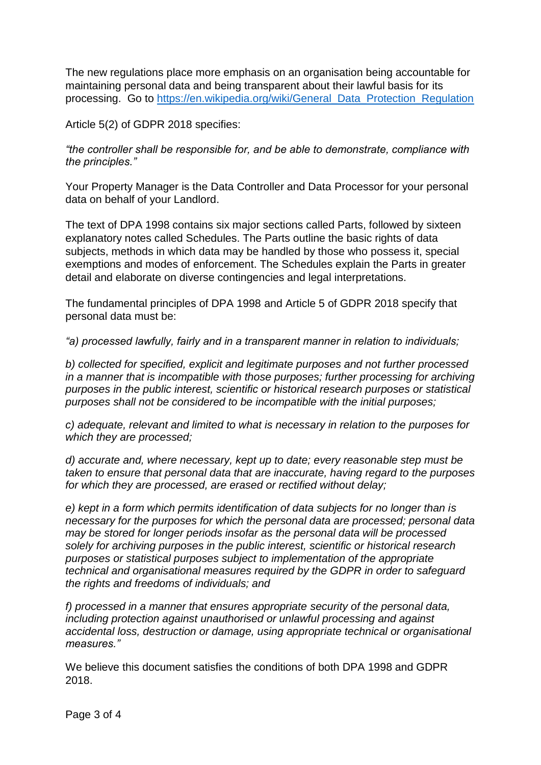The new regulations place more emphasis on an organisation being accountable for maintaining personal data and being transparent about their lawful basis for its processing. Go to [https://en.wikipedia.org/wiki/General\\_Data\\_Protection\\_Regulation](https://en.wikipedia.org/wiki/General_Data_Protection_Regulation)

Article 5(2) of GDPR 2018 specifies:

*"the controller shall be responsible for, and be able to demonstrate, compliance with the principles."*

Your Property Manager is the Data Controller and Data Processor for your personal data on behalf of your Landlord.

The text of DPA 1998 contains six major sections called Parts, followed by sixteen explanatory notes called Schedules. The Parts outline the basic rights of data subjects, methods in which data may be handled by those who possess it, special exemptions and modes of enforcement. The Schedules explain the Parts in greater detail and elaborate on diverse contingencies and legal interpretations.

The fundamental principles of DPA 1998 and Article 5 of GDPR 2018 specify that personal data must be:

*"a) processed lawfully, fairly and in a transparent manner in relation to individuals;*

*b) collected for specified, explicit and legitimate purposes and not further processed in a manner that is incompatible with those purposes; further processing for archiving purposes in the public interest, scientific or historical research purposes or statistical purposes shall not be considered to be incompatible with the initial purposes;*

*c) adequate, relevant and limited to what is necessary in relation to the purposes for which they are processed;*

*d) accurate and, where necessary, kept up to date; every reasonable step must be taken to ensure that personal data that are inaccurate, having regard to the purposes for which they are processed, are erased or rectified without delay;*

*e) kept in a form which permits identification of data subjects for no longer than is necessary for the purposes for which the personal data are processed; personal data may be stored for longer periods insofar as the personal data will be processed solely for archiving purposes in the public interest, scientific or historical research purposes or statistical purposes subject to implementation of the appropriate technical and organisational measures required by the GDPR in order to safeguard the rights and freedoms of individuals; and*

*f) processed in a manner that ensures appropriate security of the personal data, including protection against unauthorised or unlawful processing and against accidental loss, destruction or damage, using appropriate technical or organisational measures."*

We believe this document satisfies the conditions of both DPA 1998 and GDPR 2018.